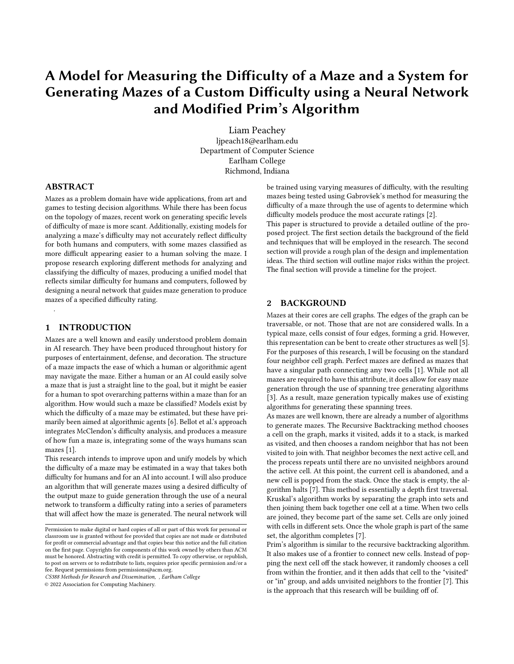# A Model for Measuring the Difficulty of a Maze and a System for Generating Mazes of a Custom Difficulty using a Neural Network and Modified Prim's Algorithm

Liam Peachey ljpeach18@earlham.edu Department of Computer Science Earlham College Richmond, Indiana

## ABSTRACT

Mazes as a problem domain have wide applications, from art and games to testing decision algorithms. While there has been focus on the topology of mazes, recent work on generating specific levels of difficulty of maze is more scant. Additionally, existing models for analyzing a maze's difficulty may not accurately reflect difficulty for both humans and computers, with some mazes classified as more difficult appearing easier to a human solving the maze. I propose research exploring different methods for analyzing and classifying the difficulty of mazes, producing a unified model that reflects similar difficulty for humans and computers, followed by designing a neural network that guides maze generation to produce mazes of a specified difficulty rating.

#### 1 INTRODUCTION

.

Mazes are a well known and easily understood problem domain in AI research. They have been produced throughout history for purposes of entertainment, defense, and decoration. The structure of a maze impacts the ease of which a human or algorithmic agent may navigate the maze. Either a human or an AI could easily solve a maze that is just a straight line to the goal, but it might be easier for a human to spot overarching patterns within a maze than for an algorithm. How would such a maze be classified? Models exist by which the difficulty of a maze may be estimated, but these have primarily been aimed at algorithmic agents [\[6\]](#page-3-0). Bellot et al.'s approach integrates McClendon's difficulty analysis, and produces a measure of how fun a maze is, integrating some of the ways humans scan mazes [\[1\]](#page-3-1).

This research intends to improve upon and unify models by which the difficulty of a maze may be estimated in a way that takes both difficulty for humans and for an AI into account. I will also produce an algorithm that will generate mazes using a desired difficulty of the output maze to guide generation through the use of a neural network to transform a difficulty rating into a series of parameters that will affect how the maze is generated. The neural network will

CS388 Methods for Research and Dissemination, , Earlham College

© 2022 Association for Computing Machinery.

be trained using varying measures of difficulty, with the resulting mazes being tested using Gabrovšek's method for measuring the difficulty of a maze through the use of agents to determine which difficulty models produce the most accurate ratings [\[2\]](#page-3-2).

This paper is structured to provide a detailed outline of the proposed project. The first section details the background of the field and techniques that will be employed in the research. The second section will provide a rough plan of the design and implementation ideas. The third section will outline major risks within the project. The final section will provide a timeline for the project.

### 2 BACKGROUND

Mazes at their cores are cell graphs. The edges of the graph can be traversable, or not. Those that are not are considered walls. In a typical maze, cells consist of four edges, forming a grid. However, this representation can be bent to create other structures as well [\[5\]](#page-3-3). For the purposes of this research, I will be focusing on the standard four neighbor cell graph. Perfect mazes are defined as mazes that have a singular path connecting any two cells [\[1\]](#page-3-1). While not all mazes are required to have this attribute, it does allow for easy maze generation through the use of spanning tree generating algorithms [\[3\]](#page-3-4). As a result, maze generation typically makes use of existing algorithms for generating these spanning trees.

As mazes are well known, there are already a number of algorithms to generate mazes. The Recursive Backtracking method chooses a cell on the graph, marks it visited, adds it to a stack, is marked as visited, and then chooses a random neighbor that has not been visited to join with. That neighbor becomes the next active cell, and the process repeats until there are no unvisited neighbors around the active cell. At this point, the current cell is abandoned, and a new cell is popped from the stack. Once the stack is empty, the algorithm halts [\[7\]](#page-3-5). This method is essentially a depth first traversal. Kruskal's algorithm works by separating the graph into sets and then joining them back together one cell at a time. When two cells are joined, they become part of the same set. Cells are only joined with cells in different sets. Once the whole graph is part of the same set, the algorithm completes [\[7\]](#page-3-5).

Prim's algorithm is similar to the recursive backtracking algorithm. It also makes use of a frontier to connect new cells. Instead of popping the next cell off the stack however, it randomly chooses a cell from within the frontier, and it then adds that cell to the "visited" or "in" group, and adds unvisited neighbors to the frontier [\[7\]](#page-3-5). This is the approach that this research will be building off of.

Permission to make digital or hard copies of all or part of this work for personal or classroom use is granted without fee provided that copies are not made or distributed for profit or commercial advantage and that copies bear this notice and the full citation on the first page. Copyrights for components of this work owned by others than  $\rm{ACM}$ must be honored. Abstracting with credit is permitted. To copy otherwise, or republish, to post on servers or to redistribute to lists, requires prior specific permission and/or a fee. Request permissions from permissions@acm.org.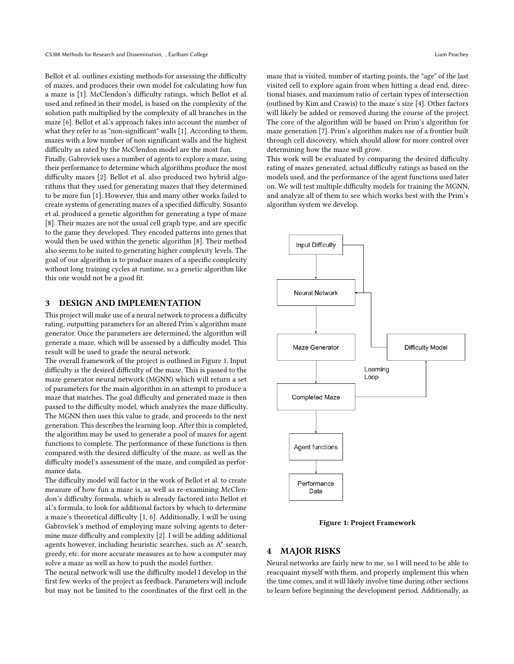Bellot et al. outlines existing methods for assessing the difficulty of mazes, and produces their own model for calculating how fun a maze is [\[1\]](#page-3-1). McClendon's difficulty ratings, which Bellot et al. used and refined in their model, is based on the complexity of the solution path multiplied by the complexity of all branches in the maze [\[6\]](#page-3-0). Bellot et al.'s approach takes into account the number of what they refer to as "non-significant" walls [\[1\]](#page-3-1). According to them, mazes with a low number of non significant walls and the highest difficulty as rated by the McClendon model are the most fun.

Finally, Gabrovšek uses a number of agents to explore a maze, using their performance to determine which algorithms produce the most difficulty mazes [\[2\]](#page-3-2). Bellot et al. also produced two hybrid algorithms that they used for generating mazes that they determined to be more fun [\[1\]](#page-3-1). However, this and many other works failed to create systems of generating mazes of a specified difficulty. Susanto et al. produced a genetic algorithm for generating a type of maze [\[8\]](#page-3-6). Their mazes are not the usual cell graph type, and are specific to the game they developed. They encoded patterns into genes that would then be used within the genetic algorithm [\[8\]](#page-3-6). Their method also seems to be suited to generating higher complexity levels. The goal of our algorithm is to produce mazes of a specific complexity without long training cycles at runtime, so a genetic algorithm like this one would not be a good fit.

## 3 DESIGN AND IMPLEMENTATION

This project will make use of a neural network to process a difficulty rating, outputting parameters for an altered Prim's algorithm maze generator. Once the parameters are determined, the algorithm will generate a maze, which will be assessed by a difficulty model. This result will be used to grade the neural network.

The overall framework of the project is outlined in Figure [1.](#page-1-0) Input difficulty is the desired difficulty of the maze. This is passed to the maze generator neural network (MGNN) which will return a set of parameters for the main algorithm in an attempt to produce a maze that matches. The goal difficulty and generated maze is then passed to the difficulty model, which analyzes the maze difficulty. The MGNN then uses this value to grade, and proceeds to the next generation. This describes the learning loop. After this is completed, the algorithm may be used to generate a pool of mazes for agent functions to complete. The performance of these functions is then compared with the desired difficulty of the maze, as well as the difficulty model's assessment of the maze, and compiled as performance data.

The difficulty model will factor in the work of Bellot et al. to create measure of how fun a maze is, as well as re-examining McClendon's difficulty formula, which is already factored into Bellot et al.'s formula, to look for additional factors by which to determine a maze's theoretical difficulty [\[1,](#page-3-1) [6\]](#page-3-0). Additionally, I will be using Gabrovšek's method of employing maze solving agents to determine maze difficulty and complexity [\[2\]](#page-3-2). I will be adding additional agents however, including heuristic searches, such as A\* search, greedy, etc. for more accurate measures as to how a computer may solve a maze as well as how to push the model further.

The neural network will use the difficulty model I develop in the first few weeks of the project as feedback. Parameters will include but may not be limited to the coordinates of the first cell in the maze that is visited, number of starting points, the "age" of the last visited cell to explore again from when hitting a dead end, directional biases, and maximum ratio of certain types of intersection (outlined by Kim and Crawis) to the maze's size [\[4\]](#page-3-7). Other factors will likely be added or removed during the course of the project. The core of the algorithm will be based on Prim's algorithm for maze generation [\[7\]](#page-3-5). Prim's algorithm makes use of a frontier built through cell discovery, which should allow for more control over determining how the maze will grow.

This work will be evaluated by comparing the desired difficulty rating of mazes generated, actual difficulty ratings as based on the models used, and the performance of the agent functions used later on. We will test multiple difficulty models for training the MGNN, and analyze all of them to see which works best with the Prim's algorithm system we develop.

<span id="page-1-0"></span>

Figure 1: Project Framework

#### **MAJOR RISKS**

Neural networks are fairly new to me, so I will need to be able to reacquaint myself with them, and properly implement this when the time comes, and it will likely involve time during other sections to learn before beginning the development period. Additionally, as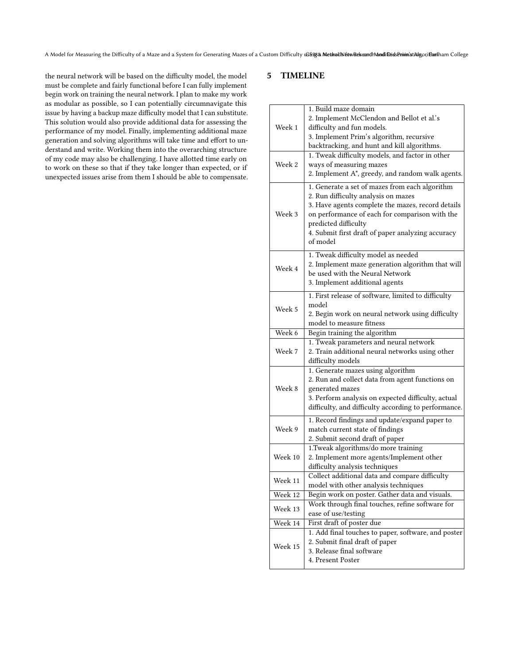A Model for Measuring the Difficulty of a Maze and a System for Generating Mazes of a Custom Difficulty using a Methods Network and Mode Research Modified Seminination, Gollege

the neural network will be based on the difficulty model, the model must be complete and fairly functional before I can fully implement begin work on training the neural network. I plan to make my work as modular as possible, so I can potentially circumnavigate this issue by having a backup maze difficulty model that I can substitute. This solution would also provide additional data for assessing the performance of my model. Finally, implementing additional maze generation and solving algorithms will take time and effort to understand and write. Working them into the overarching structure of my code may also be challenging. I have allotted time early on to work on these so that if they take longer than expected, or if unexpected issues arise from them I should be able to compensate.

# 5 TIMELINE

| Week 1  | 1. Build maze domain<br>2. Implement McClendon and Bellot et al.'s                                    |
|---------|-------------------------------------------------------------------------------------------------------|
|         | difficulty and fun models.                                                                            |
|         | 3. Implement Prim's algorithm, recursive                                                              |
|         | backtracking, and hunt and kill algorithms.                                                           |
| Week 2  | 1. Tweak difficulty models, and factor in other                                                       |
|         | ways of measuring mazes                                                                               |
|         |                                                                                                       |
|         | 2. Implement A*, greedy, and random walk agents.                                                      |
| Week 3  | 1. Generate a set of mazes from each algorithm                                                        |
|         | 2. Run difficulty analysis on mazes                                                                   |
|         | 3. Have agents complete the mazes, record details                                                     |
|         | on performance of each for comparison with the                                                        |
|         | predicted difficulty                                                                                  |
|         | 4. Submit first draft of paper analyzing accuracy                                                     |
|         | of model                                                                                              |
|         |                                                                                                       |
| Week 4  | 1. Tweak difficulty model as needed                                                                   |
|         | 2. Implement maze generation algorithm that will                                                      |
|         | be used with the Neural Network                                                                       |
|         | 3. Implement additional agents                                                                        |
|         |                                                                                                       |
| Week 5  | 1. First release of software, limited to difficulty                                                   |
|         | model                                                                                                 |
|         | 2. Begin work on neural network using difficulty                                                      |
|         | model to measure fitness                                                                              |
| Week 6  | Begin training the algorithm                                                                          |
|         | 1. Tweak parameters and neural network                                                                |
| Week 7  | 2. Train additional neural networks using other                                                       |
|         |                                                                                                       |
|         | difficulty models                                                                                     |
|         |                                                                                                       |
|         | 1. Generate mazes using algorithm                                                                     |
|         | 2. Run and collect data from agent functions on                                                       |
| Week 8  | generated mazes                                                                                       |
|         | 3. Perform analysis on expected difficulty, actual                                                    |
|         |                                                                                                       |
|         |                                                                                                       |
|         | difficulty, and difficulty according to performance.<br>1. Record findings and update/expand paper to |
| Week 9  | match current state of findings                                                                       |
|         | 2. Submit second draft of paper                                                                       |
|         | 1.Tweak algorithms/do more training                                                                   |
| Week 10 |                                                                                                       |
|         | 2. Implement more agents/Implement other                                                              |
|         | difficulty analysis techniques                                                                        |
| Week 11 | Collect additional data and compare difficulty                                                        |
|         | model with other analysis techniques                                                                  |
| Week 12 | Begin work on poster. Gather data and visuals.                                                        |
|         | Work through final touches, refine software for                                                       |
| Week 13 | ease of use/testing                                                                                   |
| Week 14 | First draft of poster due                                                                             |
|         |                                                                                                       |
|         | 1. Add final touches to paper, software, and poster                                                   |
| Week 15 | 2. Submit final draft of paper                                                                        |
|         | 3. Release final software<br>4. Present Poster                                                        |